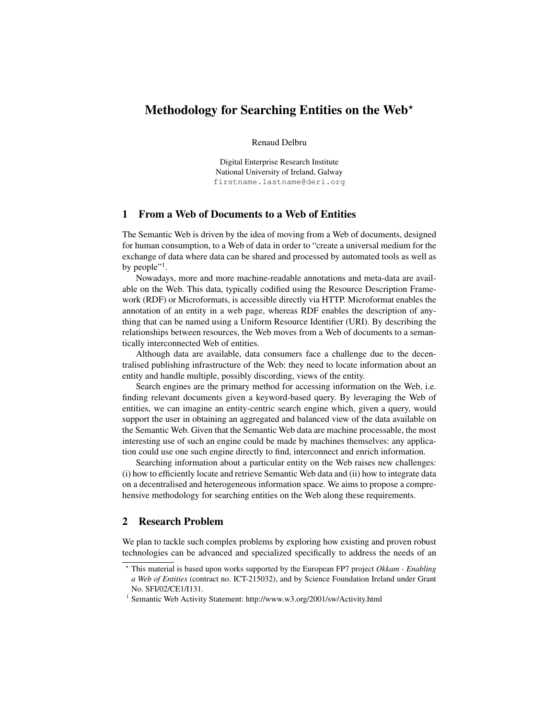# Methodology for Searching Entities on the Web $^{\star}$

Renaud Delbru

Digital Enterprise Research Institute National University of Ireland, Galway firstname.lastname@deri.org

### 1 From a Web of Documents to a Web of Entities

The Semantic Web is driven by the idea of moving from a Web of documents, designed for human consumption, to a Web of data in order to "create a universal medium for the exchange of data where data can be shared and processed by automated tools as well as by people"<sup>1</sup>.

Nowadays, more and more machine-readable annotations and meta-data are available on the Web. This data, typically codified using the Resource Description Framework (RDF) or Microformats, is accessible directly via HTTP. Microformat enables the annotation of an entity in a web page, whereas RDF enables the description of anything that can be named using a Uniform Resource Identifier (URI). By describing the relationships between resources, the Web moves from a Web of documents to a semantically interconnected Web of entities.

Although data are available, data consumers face a challenge due to the decentralised publishing infrastructure of the Web: they need to locate information about an entity and handle multiple, possibly discording, views of the entity.

Search engines are the primary method for accessing information on the Web, i.e. finding relevant documents given a keyword-based query. By leveraging the Web of entities, we can imagine an entity-centric search engine which, given a query, would support the user in obtaining an aggregated and balanced view of the data available on the Semantic Web. Given that the Semantic Web data are machine processable, the most interesting use of such an engine could be made by machines themselves: any application could use one such engine directly to find, interconnect and enrich information.

Searching information about a particular entity on the Web raises new challenges: (i) how to efficiently locate and retrieve Semantic Web data and (ii) how to integrate data on a decentralised and heterogeneous information space. We aims to propose a comprehensive methodology for searching entities on the Web along these requirements.

## 2 Research Problem

We plan to tackle such complex problems by exploring how existing and proven robust technologies can be advanced and specialized specifically to address the needs of an

<sup>?</sup> This material is based upon works supported by the European FP7 project *Okkam - Enabling a Web of Entities* (contract no. ICT-215032), and by Science Foundation Ireland under Grant No. SFI/02/CE1/I131.

<sup>&</sup>lt;sup>1</sup> Semantic Web Activity Statement: http://www.w3.org/2001/sw/Activity.html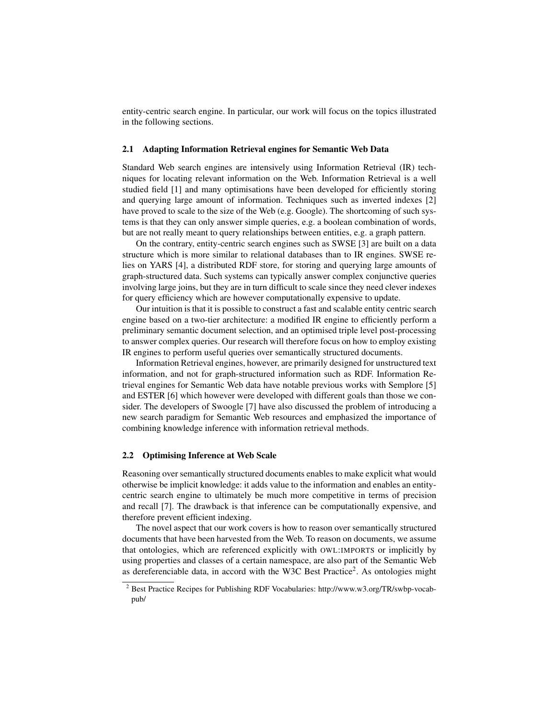entity-centric search engine. In particular, our work will focus on the topics illustrated in the following sections.

#### 2.1 Adapting Information Retrieval engines for Semantic Web Data

Standard Web search engines are intensively using Information Retrieval (IR) techniques for locating relevant information on the Web. Information Retrieval is a well studied field [1] and many optimisations have been developed for efficiently storing and querying large amount of information. Techniques such as inverted indexes [2] have proved to scale to the size of the Web (e.g. Google). The shortcoming of such systems is that they can only answer simple queries, e.g. a boolean combination of words, but are not really meant to query relationships between entities, e.g. a graph pattern.

On the contrary, entity-centric search engines such as SWSE [3] are built on a data structure which is more similar to relational databases than to IR engines. SWSE relies on YARS [4], a distributed RDF store, for storing and querying large amounts of graph-structured data. Such systems can typically answer complex conjunctive queries involving large joins, but they are in turn difficult to scale since they need clever indexes for query efficiency which are however computationally expensive to update.

Our intuition is that it is possible to construct a fast and scalable entity centric search engine based on a two-tier architecture: a modified IR engine to efficiently perform a preliminary semantic document selection, and an optimised triple level post-processing to answer complex queries. Our research will therefore focus on how to employ existing IR engines to perform useful queries over semantically structured documents.

Information Retrieval engines, however, are primarily designed for unstructured text information, and not for graph-structured information such as RDF. Information Retrieval engines for Semantic Web data have notable previous works with Semplore [5] and ESTER [6] which however were developed with different goals than those we consider. The developers of Swoogle [7] have also discussed the problem of introducing a new search paradigm for Semantic Web resources and emphasized the importance of combining knowledge inference with information retrieval methods.

#### 2.2 Optimising Inference at Web Scale

Reasoning over semantically structured documents enables to make explicit what would otherwise be implicit knowledge: it adds value to the information and enables an entitycentric search engine to ultimately be much more competitive in terms of precision and recall [7]. The drawback is that inference can be computationally expensive, and therefore prevent efficient indexing.

The novel aspect that our work covers is how to reason over semantically structured documents that have been harvested from the Web. To reason on documents, we assume that ontologies, which are referenced explicitly with OWL:IMPORTS or implicitly by using properties and classes of a certain namespace, are also part of the Semantic Web as dereferenciable data, in accord with the W3C Best Practice<sup>2</sup>. As ontologies might

<sup>2</sup> Best Practice Recipes for Publishing RDF Vocabularies: http://www.w3.org/TR/swbp-vocabpub/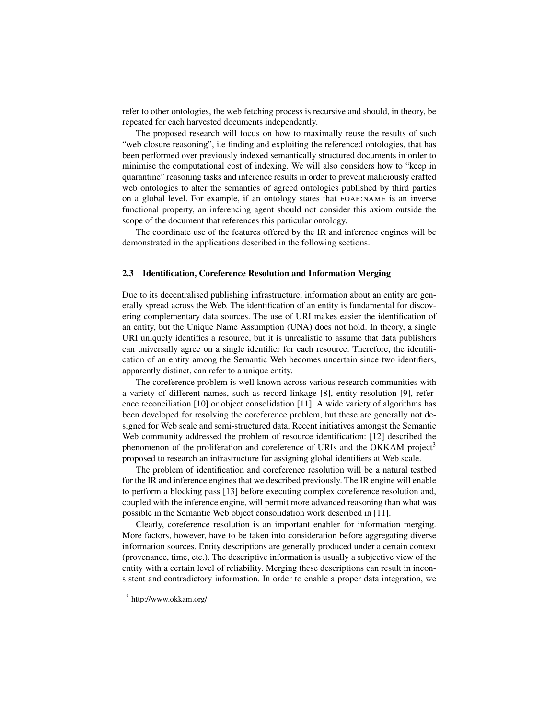refer to other ontologies, the web fetching process is recursive and should, in theory, be repeated for each harvested documents independently.

The proposed research will focus on how to maximally reuse the results of such "web closure reasoning", i.e finding and exploiting the referenced ontologies, that has been performed over previously indexed semantically structured documents in order to minimise the computational cost of indexing. We will also considers how to "keep in quarantine" reasoning tasks and inference results in order to prevent maliciously crafted web ontologies to alter the semantics of agreed ontologies published by third parties on a global level. For example, if an ontology states that FOAF:NAME is an inverse functional property, an inferencing agent should not consider this axiom outside the scope of the document that references this particular ontology.

The coordinate use of the features offered by the IR and inference engines will be demonstrated in the applications described in the following sections.

#### 2.3 Identification, Coreference Resolution and Information Merging

Due to its decentralised publishing infrastructure, information about an entity are generally spread across the Web. The identification of an entity is fundamental for discovering complementary data sources. The use of URI makes easier the identification of an entity, but the Unique Name Assumption (UNA) does not hold. In theory, a single URI uniquely identifies a resource, but it is unrealistic to assume that data publishers can universally agree on a single identifier for each resource. Therefore, the identification of an entity among the Semantic Web becomes uncertain since two identifiers, apparently distinct, can refer to a unique entity.

The coreference problem is well known across various research communities with a variety of different names, such as record linkage [8], entity resolution [9], reference reconciliation [10] or object consolidation [11]. A wide variety of algorithms has been developed for resolving the coreference problem, but these are generally not designed for Web scale and semi-structured data. Recent initiatives amongst the Semantic Web community addressed the problem of resource identification: [12] described the phenomenon of the proliferation and coreference of URIs and the OKKAM project<sup>3</sup> proposed to research an infrastructure for assigning global identifiers at Web scale.

The problem of identification and coreference resolution will be a natural testbed for the IR and inference engines that we described previously. The IR engine will enable to perform a blocking pass [13] before executing complex coreference resolution and, coupled with the inference engine, will permit more advanced reasoning than what was possible in the Semantic Web object consolidation work described in [11].

Clearly, coreference resolution is an important enabler for information merging. More factors, however, have to be taken into consideration before aggregating diverse information sources. Entity descriptions are generally produced under a certain context (provenance, time, etc.). The descriptive information is usually a subjective view of the entity with a certain level of reliability. Merging these descriptions can result in inconsistent and contradictory information. In order to enable a proper data integration, we

<sup>3</sup> http://www.okkam.org/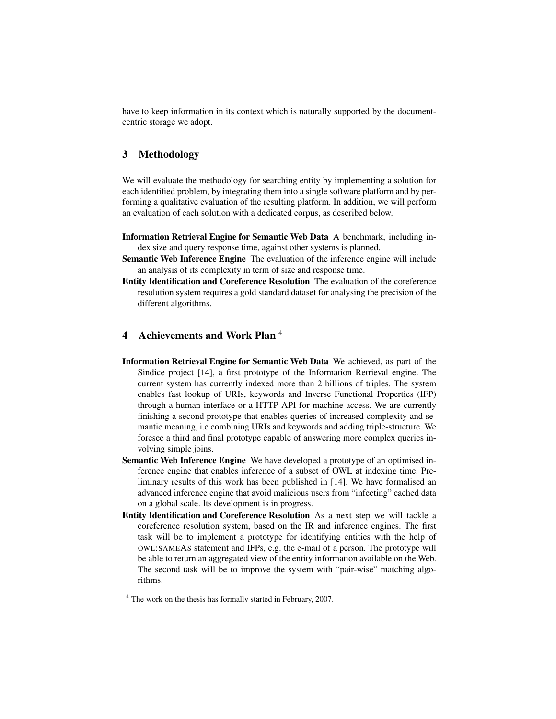have to keep information in its context which is naturally supported by the documentcentric storage we adopt.

### 3 Methodology

We will evaluate the methodology for searching entity by implementing a solution for each identified problem, by integrating them into a single software platform and by performing a qualitative evaluation of the resulting platform. In addition, we will perform an evaluation of each solution with a dedicated corpus, as described below.

- Information Retrieval Engine for Semantic Web Data A benchmark, including index size and query response time, against other systems is planned.
- Semantic Web Inference Engine The evaluation of the inference engine will include an analysis of its complexity in term of size and response time.
- Entity Identification and Coreference Resolution The evaluation of the coreference resolution system requires a gold standard dataset for analysing the precision of the different algorithms.

# 4 Achievements and Work Plan <sup>4</sup>

- Information Retrieval Engine for Semantic Web Data We achieved, as part of the Sindice project [14], a first prototype of the Information Retrieval engine. The current system has currently indexed more than 2 billions of triples. The system enables fast lookup of URIs, keywords and Inverse Functional Properties (IFP) through a human interface or a HTTP API for machine access. We are currently finishing a second prototype that enables queries of increased complexity and semantic meaning, i.e combining URIs and keywords and adding triple-structure. We foresee a third and final prototype capable of answering more complex queries involving simple joins.
- Semantic Web Inference Engine We have developed a prototype of an optimised inference engine that enables inference of a subset of OWL at indexing time. Preliminary results of this work has been published in [14]. We have formalised an advanced inference engine that avoid malicious users from "infecting" cached data on a global scale. Its development is in progress.
- Entity Identification and Coreference Resolution As a next step we will tackle a coreference resolution system, based on the IR and inference engines. The first task will be to implement a prototype for identifying entities with the help of OWL:SAMEAS statement and IFPs, e.g. the e-mail of a person. The prototype will be able to return an aggregated view of the entity information available on the Web. The second task will be to improve the system with "pair-wise" matching algorithms.

<sup>4</sup> The work on the thesis has formally started in February, 2007.